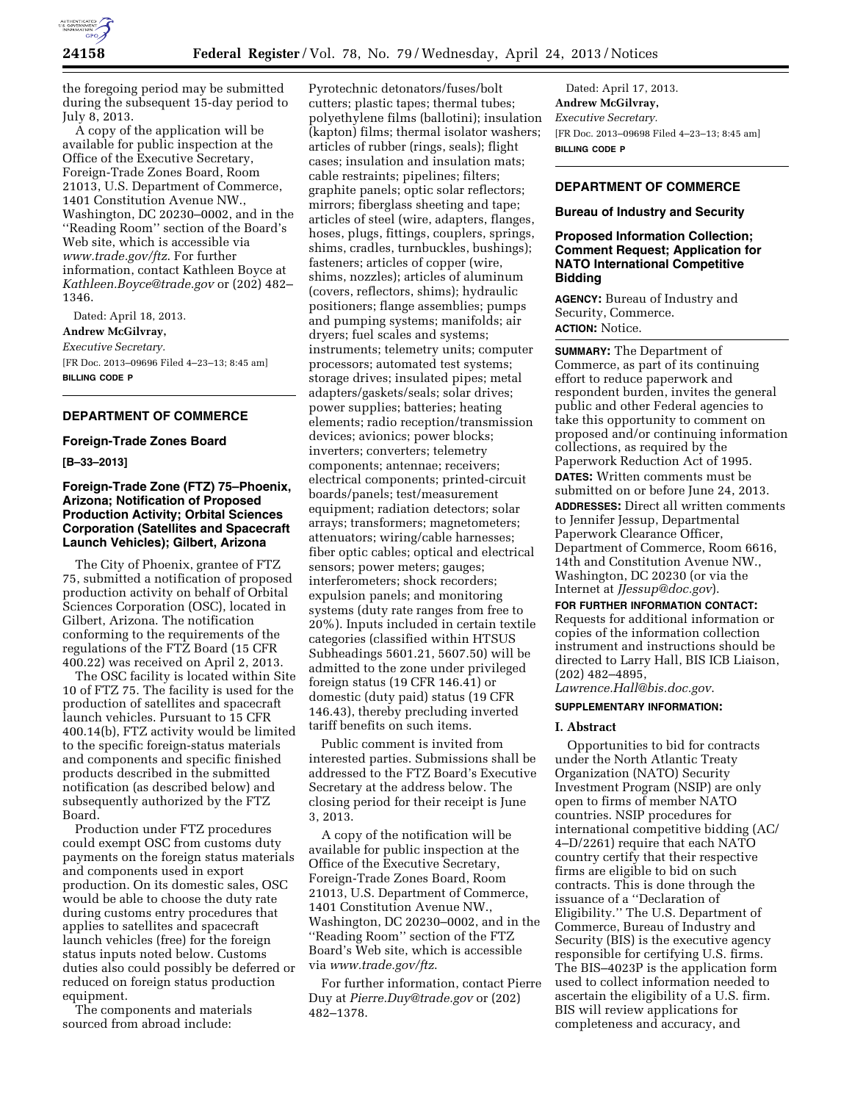

the foregoing period may be submitted during the subsequent 15-day period to July 8, 2013.

A copy of the application will be available for public inspection at the Office of the Executive Secretary, Foreign-Trade Zones Board, Room 21013, U.S. Department of Commerce, 1401 Constitution Avenue NW., Washington, DC 20230–0002, and in the ''Reading Room'' section of the Board's Web site, which is accessible via *[www.trade.gov/ftz](http://www.trade.gov/ftz)*. For further information, contact Kathleen Boyce at *[Kathleen.Boyce@trade.gov](mailto:Kathleen.Boyce@trade.gov)* or (202) 482– 1346.

Dated: April 18, 2013. **Andrew McGilvray,**  *Executive Secretary.*  [FR Doc. 2013–09696 Filed 4–23–13; 8:45 am] **BILLING CODE P** 

# **DEPARTMENT OF COMMERCE**

### **Foreign-Trade Zones Board**

### **[B–33–2013]**

# **Foreign-Trade Zone (FTZ) 75–Phoenix, Arizona; Notification of Proposed Production Activity; Orbital Sciences Corporation (Satellites and Spacecraft Launch Vehicles); Gilbert, Arizona**

The City of Phoenix, grantee of FTZ 75, submitted a notification of proposed production activity on behalf of Orbital Sciences Corporation (OSC), located in Gilbert, Arizona. The notification conforming to the requirements of the regulations of the FTZ Board (15 CFR 400.22) was received on April 2, 2013.

The OSC facility is located within Site 10 of FTZ 75. The facility is used for the production of satellites and spacecraft launch vehicles. Pursuant to 15 CFR 400.14(b), FTZ activity would be limited to the specific foreign-status materials and components and specific finished products described in the submitted notification (as described below) and subsequently authorized by the FTZ Board.

Production under FTZ procedures could exempt OSC from customs duty payments on the foreign status materials and components used in export production. On its domestic sales, OSC would be able to choose the duty rate during customs entry procedures that applies to satellites and spacecraft launch vehicles (free) for the foreign status inputs noted below. Customs duties also could possibly be deferred or reduced on foreign status production equipment.

The components and materials sourced from abroad include:

Pyrotechnic detonators/fuses/bolt cutters; plastic tapes; thermal tubes; polyethylene films (ballotini); insulation (kapton) films; thermal isolator washers; articles of rubber (rings, seals); flight cases; insulation and insulation mats; cable restraints; pipelines; filters; graphite panels; optic solar reflectors; mirrors; fiberglass sheeting and tape; articles of steel (wire, adapters, flanges, hoses, plugs, fittings, couplers, springs, shims, cradles, turnbuckles, bushings); fasteners; articles of copper (wire, shims, nozzles); articles of aluminum (covers, reflectors, shims); hydraulic positioners; flange assemblies; pumps and pumping systems; manifolds; air dryers; fuel scales and systems; instruments; telemetry units; computer processors; automated test systems; storage drives; insulated pipes; metal adapters/gaskets/seals; solar drives; power supplies; batteries; heating elements; radio reception/transmission devices; avionics; power blocks; inverters; converters; telemetry components; antennae; receivers; electrical components; printed-circuit boards/panels; test/measurement equipment; radiation detectors; solar arrays; transformers; magnetometers; attenuators; wiring/cable harnesses; fiber optic cables; optical and electrical sensors; power meters; gauges; interferometers; shock recorders; expulsion panels; and monitoring systems (duty rate ranges from free to 20%). Inputs included in certain textile categories (classified within HTSUS Subheadings 5601.21, 5607.50) will be admitted to the zone under privileged foreign status (19 CFR 146.41) or domestic (duty paid) status (19 CFR 146.43), thereby precluding inverted tariff benefits on such items.

Public comment is invited from interested parties. Submissions shall be addressed to the FTZ Board's Executive Secretary at the address below. The closing period for their receipt is June 3, 2013.

A copy of the notification will be available for public inspection at the Office of the Executive Secretary, Foreign-Trade Zones Board, Room 21013, U.S. Department of Commerce, 1401 Constitution Avenue NW., Washington, DC 20230–0002, and in the ''Reading Room'' section of the FTZ Board's Web site, which is accessible via *[www.trade.gov/ftz](http://www.trade.gov/ftz)*.

For further information, contact Pierre Duy at *[Pierre.Duy@trade.gov](mailto:Pierre.Duy@trade.gov)* or (202) 482–1378.

Dated: April 17, 2013. **Andrew McGilvray,**  *Executive Secretary.*  [FR Doc. 2013–09698 Filed 4–23–13; 8:45 am] **BILLING CODE P** 

### **DEPARTMENT OF COMMERCE**

### **Bureau of Industry and Security**

### **Proposed Information Collection; Comment Request; Application for NATO International Competitive Bidding**

**AGENCY:** Bureau of Industry and Security, Commerce. **ACTION:** Notice.

**SUMMARY:** The Department of Commerce, as part of its continuing effort to reduce paperwork and respondent burden, invites the general public and other Federal agencies to take this opportunity to comment on proposed and/or continuing information collections, as required by the Paperwork Reduction Act of 1995. **DATES:** Written comments must be submitted on or before June 24, 2013. **ADDRESSES:** Direct all written comments to Jennifer Jessup, Departmental Paperwork Clearance Officer, Department of Commerce, Room 6616, 14th and Constitution Avenue NW., Washington, DC 20230 (or via the Internet at *[JJessup@doc.gov](mailto:JJessup@doc.gov)*).

**FOR FURTHER INFORMATION CONTACT:**  Requests for additional information or copies of the information collection instrument and instructions should be directed to Larry Hall, BIS ICB Liaison, (202) 482–4895, *[Lawrence.Hall@bis.doc.gov](mailto:Lawrence.Hall@bis.doc.gov)*.

### **SUPPLEMENTARY INFORMATION:**

#### **I. Abstract**

Opportunities to bid for contracts under the North Atlantic Treaty Organization (NATO) Security Investment Program (NSIP) are only open to firms of member NATO countries. NSIP procedures for international competitive bidding (AC/ 4–D/2261) require that each NATO country certify that their respective firms are eligible to bid on such contracts. This is done through the issuance of a ''Declaration of Eligibility.'' The U.S. Department of Commerce, Bureau of Industry and Security (BIS) is the executive agency responsible for certifying U.S. firms. The BIS–4023P is the application form used to collect information needed to ascertain the eligibility of a U.S. firm. BIS will review applications for completeness and accuracy, and